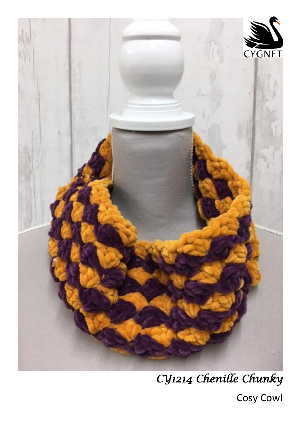

# *CY1214 Chenille Chunky*

**Cosy Cowl**